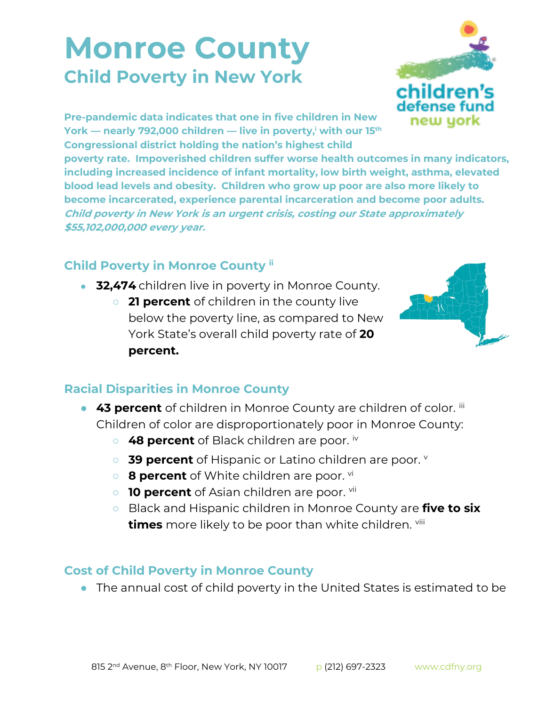## **Monroe County Child Poverty in New York**



**Pre-pandemic data indicates that one in five children in New York — nearly 792,000 children — live in poverty,<sup>i</sup> with our 15th Congressional district holding the nation's highest child** 

**poverty rate. Impoverished children suffer worse health outcomes in many indicators, including increased incidence of infant mortality, low birth weight, asthma, elevated blood lead levels and obesity. Children who grow up poor are also more likely to become incarcerated, experience parental incarceration and become poor adults. Child poverty in New York is an urgent crisis, costing our State approximately \$55,102,000,000 every year.**

## **Child Poverty in Monroe County ii**

- **32,474** children live in poverty in Monroe County.
	- **21 percent** of children in the county live below the poverty line, as compared to New York State's overall child poverty rate of **20 percent.**



## **Racial Disparities in Monroe County**

- **43 percent** of children in Monroe County are children of color. iii Children of color are disproportionately poor in Monroe County:
	- 48 percent of Black children are poor. iv
	- 39 percent of Hispanic or Latino children are poor. **V**
	- **8 percent** of White children are poor. <sup>vi</sup>
	- **10 percent** of Asian children are poor. <sup>vii</sup>
	- Black and Hispanic children in Monroe County are **five to six times** more likely to be poor than white children. viii

## **Cost of Child Poverty in Monroe County**

● The annual cost of child poverty in the United States is estimated to be